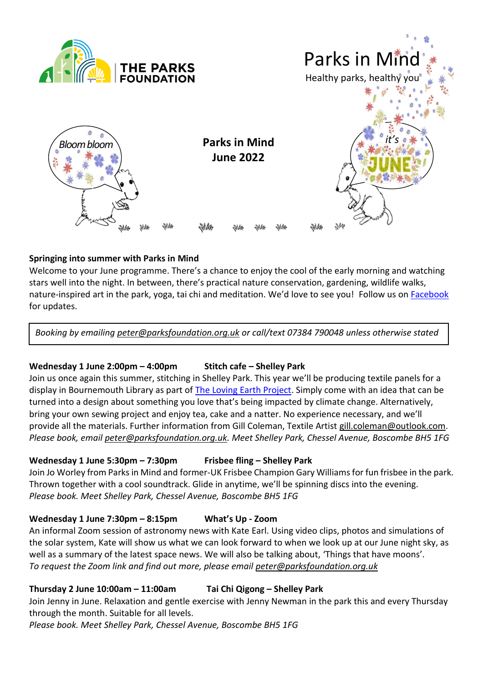



## **Springing into summer with Parks in Mind**

Welcome to your June programme. There's a chance to enjoy the cool of the early morning and watching stars well into the night. In between, there's practical nature conservation, gardening, wildlife walks, nature-inspired art in the park, yoga, tai chi and meditation. We'd love to see you! Follow us on [Facebook](https://www.facebook.com/groups/270055516961333) for updates.

*Booking by emailing [peter@parksfoundation.org.uk](mailto:peter@parksfoundation.org.uk) or call/text 07384 790048 unless otherwise stated*

### **Wednesday 1 June 2:00pm – 4:00pm Stitch cafe – Shelley Park**

Join us once again this summer, stitching in Shelley Park. This year we'll be producing textile panels for a display in Bournemouth Library as part of [The Loving Earth Project.](https://lovingearth-project.uk/) Simply come with an idea that can be turned into a design about something you love that's being impacted by climate change. Alternatively, bring your own sewing project and enjoy tea, cake and a natter. No experience necessary, and we'll provide all the materials. Further information from Gill Coleman, Textile Artist [gill.coleman@outlook.com.](mailto:gill.coleman@outlook.com) *Please book, email [peter@parksfoundation.org.uk.](mailto:peter@parksfoundation.org.uk) Meet Shelley Park, Chessel Avenue, Boscombe BH5 1FG*

### **Wednesday 1 June 5:30pm – 7:30pm Frisbee fling – Shelley Park**

Join Jo Worley from Parks in Mind and former-UK Frisbee Champion Gary Williams for fun frisbee in the park. Thrown together with a cool soundtrack. Glide in anytime, we'll be spinning discs into the evening. *Please book. Meet Shelley Park, Chessel Avenue, Boscombe BH5 1FG* 

### **Wednesday 1 June 7:30pm – 8:15pm What's Up - Zoom**

An informal Zoom session of astronomy news with Kate Earl. Using video clips, photos and simulations of the solar system, Kate will show us what we can look forward to when we look up at our June night sky, as well as a summary of the latest space news. We will also be talking about, 'Things that have moons'. *To request the Zoom link and find out more, please email [peter@parksfoundation.org.uk](mailto:peter@parksfoundation.org.uk)*

### **Thursday 2 June 10:00am – 11:00am Tai Chi Qigong – Shelley Park**

Join Jenny in June. Relaxation and gentle exercise with Jenny Newman in the park this and every Thursday through the month. Suitable for all levels.

*Please book. Meet Shelley Park, Chessel Avenue, Boscombe BH5 1FG*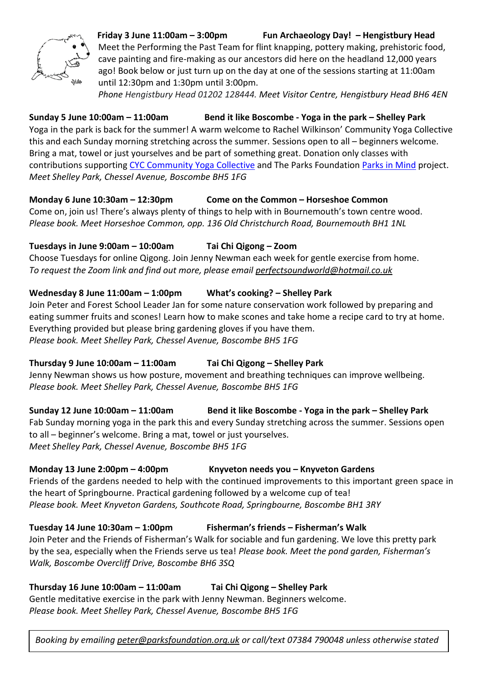

**Friday 3 June 11:00am – 3:00pm Fun Archaeology Day! – Hengistbury Head**  Meet the Performing the Past Team for flint knapping, pottery making, prehistoric food, cave painting and fire-making as our ancestors did here on the headland 12,000 years ago! Book below or just turn up on the day at one of the sessions starting at 11:00am until 12:30pm and 1:30pm until 3:00pm.

*Phone Hengistbury Head 01202 128444. Meet Visitor Centre, Hengistbury Head BH6 4EN*

# **Sunday 5 June 10:00am – 11:00am Bend it like Boscombe - Yoga in the park – Shelley Park**

Yoga in the park is back for the summer! A warm welcome to Rachel Wilkinson' Community Yoga Collective this and each Sunday morning stretching across the summer. Sessions open to all – beginners welcome. Bring a mat, towel or just yourselves and be part of something great. Donation only classes with contributions supporting CYC [Community](https://www.facebook.com/groups/169053814393675/?__cft__%5b0%5d=AZVtiikwqQdRZnDtsrdcb6_sWYbDq-YKwlekkreaMOJM3dhDqc_j8mdp5NexIXwC11zDroTH4S50q4BCR5odtuhhPJ0_laQkw3TiWiuz6DEhwZzzxvKGsHy9BXAMXuZ9mfeqiLTf1m-OUQnY5PCAgbYr&__tn__=-UK-R) Yoga Collective and The Parks Foundation [Parks in Mind](https://www.facebook.com/groups/270055516961333) project. *Meet Shelley Park, Chessel Avenue, Boscombe BH5 1FG* 

## **Monday 6 June 10:30am – 12:30pm Come on the Common – Horseshoe Common**

Come on, join us! There's always plenty of things to help with in Bournemouth's town centre wood. *Please book. Meet Horseshoe Common, opp. 136 Old Christchurch Road, Bournemouth BH1 1NL*

## **Tuesdays in June 9:00am – 10:00am Tai Chi Qigong – Zoom**

Choose Tuesdays for online Qigong. Join Jenny Newman each week for gentle exercise from home. *To request the Zoom link and find out more, please email [perfectsoundworld@hotmail.co.uk](mailto:perfectsoundworld@hotmail.co.uk)*

## **Wednesday 8 June 11:00am – 1:00pm What's cooking? – Shelley Park**

Join Peter and Forest School Leader Jan for some nature conservation work followed by preparing and eating summer fruits and scones! Learn how to make scones and take home a recipe card to try at home. Everything provided but please bring gardening gloves if you have them. *Please book. Meet Shelley Park, Chessel Avenue, Boscombe BH5 1FG*

# **Thursday 9 June 10:00am – 11:00am Tai Chi Qigong – Shelley Park**

Jenny Newman shows us how posture, movement and breathing techniques can improve wellbeing. *Please book. Meet Shelley Park, Chessel Avenue, Boscombe BH5 1FG* 

# **Sunday 12 June 10:00am – 11:00am Bend it like Boscombe - Yoga in the park – Shelley Park**

Fab Sunday morning yoga in the park this and every Sunday stretching across the summer. Sessions open to all – beginner's welcome. Bring a mat, towel or just yourselves. *Meet Shelley Park, Chessel Avenue, Boscombe BH5 1FG* 

## **Monday 13 June 2:00pm – 4:00pm Knyveton needs you – Knyveton Gardens**

Friends of the gardens needed to help with the continued improvements to this important green space in the heart of Springbourne. Practical gardening followed by a welcome cup of tea! *Please book. Meet Knyveton Gardens, Southcote Road, Springbourne, Boscombe BH1 3RY*

## **Tuesday 14 June 10:30am – 1:00pm Fisherman's friends – Fisherman's Walk**

Join Peter and the Friends of Fisherman's Walk for sociable and fun gardening. We love this pretty park by the sea, especially when the Friends serve us tea! *Please book. Meet the pond garden, Fisherman's Walk, Boscombe Overcliff Drive, Boscombe BH6 3SQ*

# **Thursday 16 June 10:00am – 11:00am Tai Chi Qigong – Shelley Park**

Gentle meditative exercise in the park with Jenny Newman. Beginners welcome. *Please book. Meet Shelley Park, Chessel Avenue, Boscombe BH5 1FG*

*Booking by emailing [peter@parksfoundation.org.uk](mailto:peter@parksfoundation.org.uk) or call/text 07384 790048 unless otherwise stated*